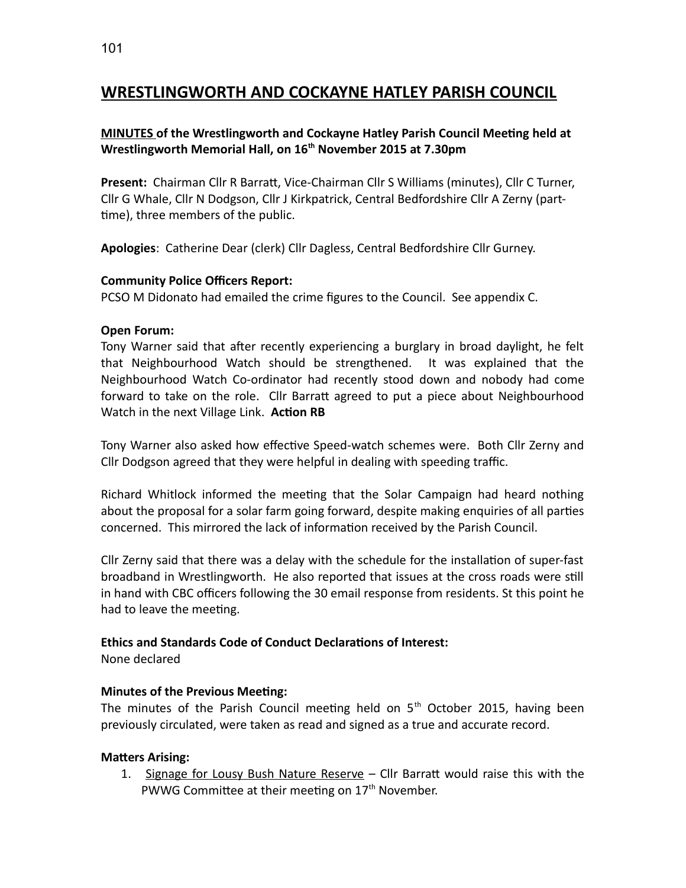## **WRESTLINGWORTH AND COCKAYNE HATLEY PARISH COUNCIL**

## **MINUTES of the Wrestlingworth and Cockayne Hatley Parish Council Meeting held at Wrestlingworth Memorial Hall, on 16th November 2015 at 7.30pm**

**Present:** Chairman Cllr R Barratt, Vice-Chairman Cllr S Williams (minutes), Cllr C Turner, Cllr G Whale, Cllr N Dodgson, Cllr J Kirkpatrick, Central Bedfordshire Cllr A Zerny (parttime), three members of the public.

**Apologies**: Catherine Dear (clerk) Cllr Dagless, Central Bedfordshire Cllr Gurney.

#### **Community Police Officers Report:**

PCSO M Didonato had emailed the crime figures to the Council. See appendix C.

#### **Open Forum:**

Tony Warner said that after recently experiencing a burglary in broad daylight, he felt that Neighbourhood Watch should be strengthened. It was explained that the Neighbourhood Watch Co-ordinator had recently stood down and nobody had come forward to take on the role. Cllr Barratt agreed to put a piece about Neighbourhood Watch in the next Village Link. **Action RB**

Tony Warner also asked how effective Speed-watch schemes were. Both Cllr Zerny and Cllr Dodgson agreed that they were helpful in dealing with speeding traffic.

Richard Whitlock informed the meeting that the Solar Campaign had heard nothing about the proposal for a solar farm going forward, despite making enquiries of all parties concerned. This mirrored the lack of information received by the Parish Council.

Cllr Zerny said that there was a delay with the schedule for the installation of super-fast broadband in Wrestlingworth. He also reported that issues at the cross roads were still in hand with CBC officers following the 30 email response from residents. St this point he had to leave the meeting.

#### **Ethics and Standards Code of Conduct Declarations of Interest:**

None declared

## **Minutes of the Previous Meeting:**

The minutes of the Parish Council meeting held on  $5<sup>th</sup>$  October 2015, having been previously circulated, were taken as read and signed as a true and accurate record.

#### **Matters Arising:**

1. Signage for Lousy Bush Nature Reserve - Cllr Barratt would raise this with the PWWG Committee at their meeting on 17<sup>th</sup> November.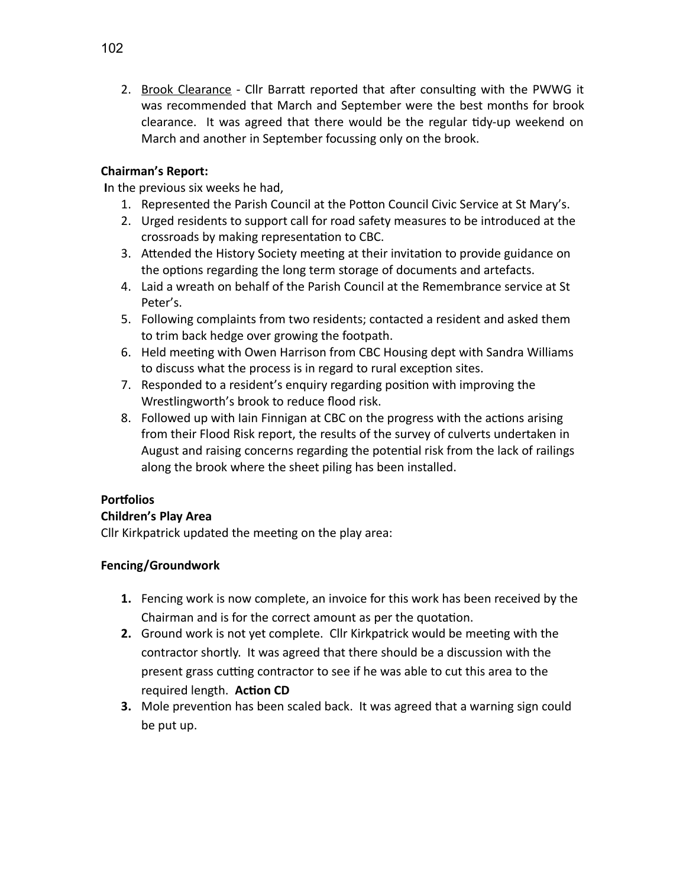2. Brook Clearance - Cllr Barratt reported that after consulting with the PWWG it was recommended that March and September were the best months for brook clearance. It was agreed that there would be the regular tidy-up weekend on March and another in September focussing only on the brook.

## **Chairman's Report:**

**I**n the previous six weeks he had,

- 1. Represented the Parish Council at the Potton Council Civic Service at St Mary's.
- 2. Urged residents to support call for road safety measures to be introduced at the crossroads by making representation to CBC.
- 3. Attended the History Society meeting at their invitation to provide guidance on the options regarding the long term storage of documents and artefacts.
- 4. Laid a wreath on behalf of the Parish Council at the Remembrance service at St Peter's.
- 5. Following complaints from two residents; contacted a resident and asked them to trim back hedge over growing the footpath.
- 6. Held meeting with Owen Harrison from CBC Housing dept with Sandra Williams to discuss what the process is in regard to rural exception sites.
- 7. Responded to a resident's enquiry regarding position with improving the Wrestlingworth's brook to reduce flood risk.
- 8. Followed up with Iain Finnigan at CBC on the progress with the actions arising from their Flood Risk report, the results of the survey of culverts undertaken in August and raising concerns regarding the potential risk from the lack of railings along the brook where the sheet piling has been installed.

## **Portfolios**

## **Children's Play Area**

Cllr Kirkpatrick updated the meeting on the play area:

## **Fencing/Groundwork**

- **1.** Fencing work is now complete, an invoice for this work has been received by the Chairman and is for the correct amount as per the quotation.
- **2.** Ground work is not yet complete. Cllr Kirkpatrick would be meeting with the contractor shortly. It was agreed that there should be a discussion with the present grass cutting contractor to see if he was able to cut this area to the required length. **Action CD**
- **3.** Mole prevention has been scaled back. It was agreed that a warning sign could be put up.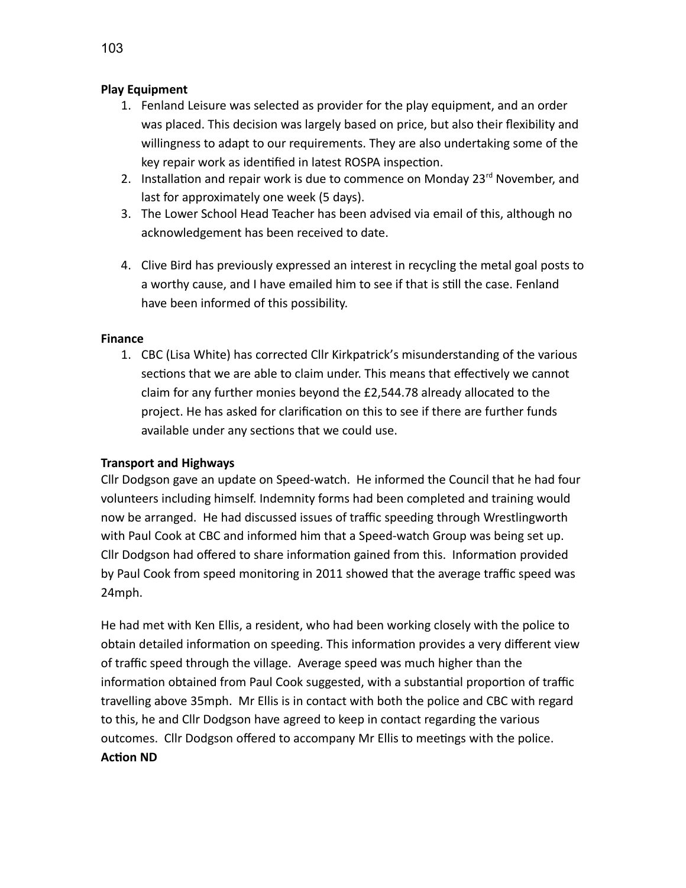### **Play Equipment**

- 1. Fenland Leisure was selected as provider for the play equipment, and an order was placed. This decision was largely based on price, but also their flexibility and willingness to adapt to our requirements. They are also undertaking some of the key repair work as identified in latest ROSPA inspection.
- 2. Installation and repair work is due to commence on Monday  $23^{rd}$  November, and last for approximately one week (5 days).
- 3. The Lower School Head Teacher has been advised via email of this, although no acknowledgement has been received to date.
- 4. Clive Bird has previously expressed an interest in recycling the metal goal posts to a worthy cause, and I have emailed him to see if that is still the case. Fenland have been informed of this possibility.

#### **Finance**

1. CBC (Lisa White) has corrected Cllr Kirkpatrick's misunderstanding of the various sections that we are able to claim under. This means that effectively we cannot claim for any further monies beyond the £2,544.78 already allocated to the project. He has asked for clarification on this to see if there are further funds available under any sections that we could use.

#### **Transport and Highways**

Cllr Dodgson gave an update on Speed-watch. He informed the Council that he had four volunteers including himself. Indemnity forms had been completed and training would now be arranged. He had discussed issues of traffic speeding through Wrestlingworth with Paul Cook at CBC and informed him that a Speed-watch Group was being set up. Cllr Dodgson had offered to share information gained from this. Information provided by Paul Cook from speed monitoring in 2011 showed that the average traffic speed was 24mph.

He had met with Ken Ellis, a resident, who had been working closely with the police to obtain detailed information on speeding. This information provides a very different view of traffic speed through the village. Average speed was much higher than the information obtained from Paul Cook suggested, with a substantial proportion of traffic travelling above 35mph. Mr Ellis is in contact with both the police and CBC with regard to this, he and Cllr Dodgson have agreed to keep in contact regarding the various outcomes. Cllr Dodgson offered to accompany Mr Ellis to meetings with the police. **Action ND**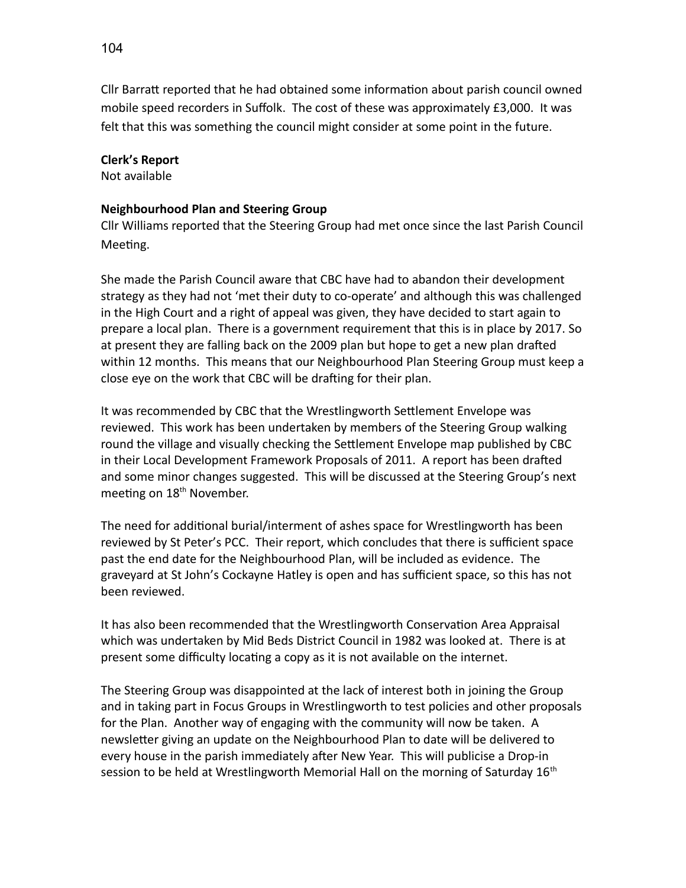Cllr Barratt reported that he had obtained some information about parish council owned mobile speed recorders in Suffolk. The cost of these was approximately £3,000. It was felt that this was something the council might consider at some point in the future.

#### **Clerk's Report**

Not available

### **Neighbourhood Plan and Steering Group**

Cllr Williams reported that the Steering Group had met once since the last Parish Council Meeting.

She made the Parish Council aware that CBC have had to abandon their development strategy as they had not 'met their duty to co-operate' and although this was challenged in the High Court and a right of appeal was given, they have decided to start again to prepare a local plan. There is a government requirement that this is in place by 2017. So at present they are falling back on the 2009 plan but hope to get a new plan drafted within 12 months. This means that our Neighbourhood Plan Steering Group must keep a close eye on the work that CBC will be drafting for their plan.

It was recommended by CBC that the Wrestlingworth Settlement Envelope was reviewed. This work has been undertaken by members of the Steering Group walking round the village and visually checking the Settlement Envelope map published by CBC in their Local Development Framework Proposals of 2011. A report has been drafted and some minor changes suggested. This will be discussed at the Steering Group's next meeting on 18<sup>th</sup> November.

The need for additional burial/interment of ashes space for Wrestlingworth has been reviewed by St Peter's PCC. Their report, which concludes that there is sufficient space past the end date for the Neighbourhood Plan, will be included as evidence. The graveyard at St John's Cockayne Hatley is open and has sufficient space, so this has not been reviewed.

It has also been recommended that the Wrestlingworth Conservation Area Appraisal which was undertaken by Mid Beds District Council in 1982 was looked at. There is at present some difficulty locating a copy as it is not available on the internet.

The Steering Group was disappointed at the lack of interest both in joining the Group and in taking part in Focus Groups in Wrestlingworth to test policies and other proposals for the Plan. Another way of engaging with the community will now be taken. A newsletter giving an update on the Neighbourhood Plan to date will be delivered to every house in the parish immediately after New Year. This will publicise a Drop-in session to be held at Wrestlingworth Memorial Hall on the morning of Saturday  $16<sup>th</sup>$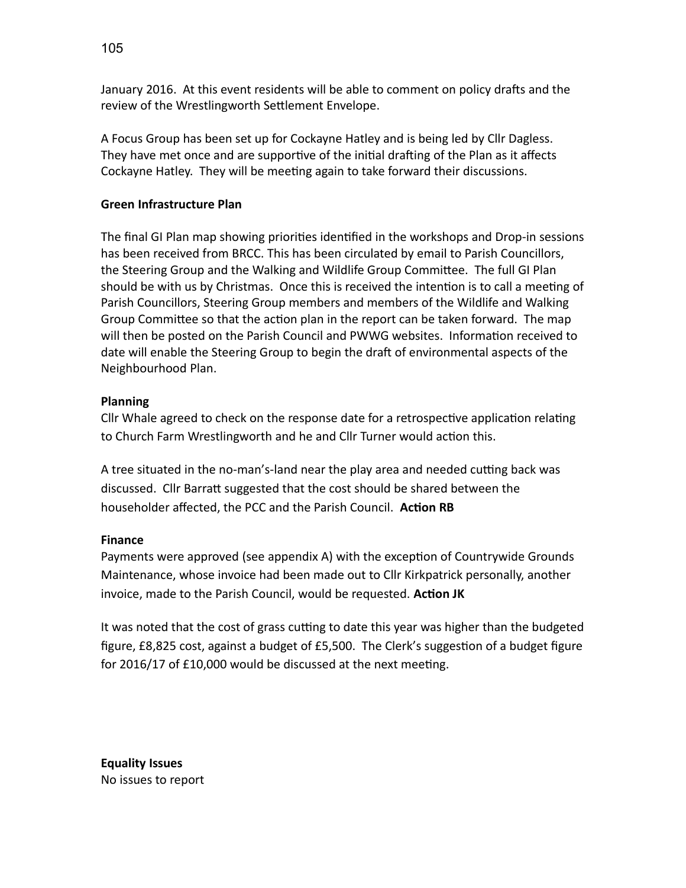January 2016. At this event residents will be able to comment on policy drafts and the review of the Wrestlingworth Settlement Envelope.

A Focus Group has been set up for Cockayne Hatley and is being led by Cllr Dagless. They have met once and are supportive of the initial drafting of the Plan as it affects Cockayne Hatley. They will be meeting again to take forward their discussions.

## **Green Infrastructure Plan**

The final GI Plan map showing priorities identified in the workshops and Drop-in sessions has been received from BRCC. This has been circulated by email to Parish Councillors, the Steering Group and the Walking and Wildlife Group Committee. The full GI Plan should be with us by Christmas. Once this is received the intention is to call a meeting of Parish Councillors, Steering Group members and members of the Wildlife and Walking Group Committee so that the action plan in the report can be taken forward. The map will then be posted on the Parish Council and PWWG websites. Information received to date will enable the Steering Group to begin the draft of environmental aspects of the Neighbourhood Plan.

## **Planning**

Cllr Whale agreed to check on the response date for a retrospective application relating to Church Farm Wrestlingworth and he and Cllr Turner would action this.

A tree situated in the no-man's-land near the play area and needed cutting back was discussed. Cllr Barratt suggested that the cost should be shared between the householder affected, the PCC and the Parish Council. **Action RB**

## **Finance**

Payments were approved (see appendix A) with the exception of Countrywide Grounds Maintenance, whose invoice had been made out to Cllr Kirkpatrick personally, another invoice, made to the Parish Council, would be requested. **Action JK**

It was noted that the cost of grass cutting to date this year was higher than the budgeted figure, £8,825 cost, against a budget of £5,500. The Clerk's suggestion of a budget figure for 2016/17 of £10,000 would be discussed at the next meeting.

**Equality Issues** No issues to report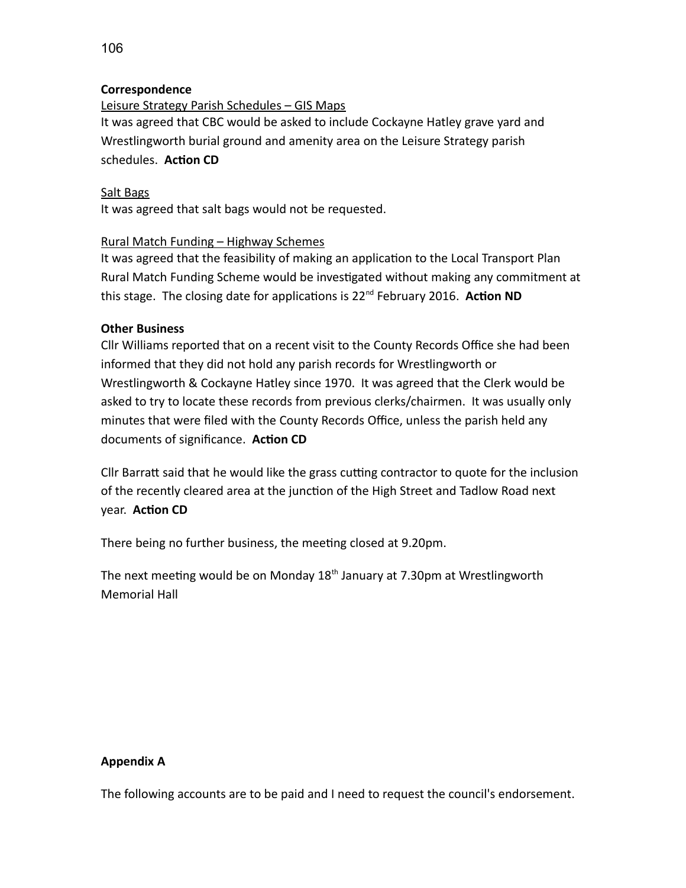### **Correspondence**

Leisure Strategy Parish Schedules – GIS Maps It was agreed that CBC would be asked to include Cockayne Hatley grave yard and Wrestlingworth burial ground and amenity area on the Leisure Strategy parish schedules. **Action CD**

#### Salt Bags

It was agreed that salt bags would not be requested.

#### Rural Match Funding – Highway Schemes

It was agreed that the feasibility of making an application to the Local Transport Plan Rural Match Funding Scheme would be investigated without making any commitment at this stage. The closing date for applications is 22nd February 2016. **Action ND**

#### **Other Business**

Cllr Williams reported that on a recent visit to the County Records Office she had been informed that they did not hold any parish records for Wrestlingworth or Wrestlingworth & Cockayne Hatley since 1970. It was agreed that the Clerk would be asked to try to locate these records from previous clerks/chairmen. It was usually only minutes that were filed with the County Records Office, unless the parish held any documents of significance. **Action CD**

Cllr Barratt said that he would like the grass cutting contractor to quote for the inclusion of the recently cleared area at the junction of the High Street and Tadlow Road next year. **Action CD**

There being no further business, the meeting closed at 9.20pm.

The next meeting would be on Monday  $18<sup>th</sup>$  January at 7.30pm at Wrestlingworth Memorial Hall

#### **Appendix A**

The following accounts are to be paid and I need to request the council's endorsement.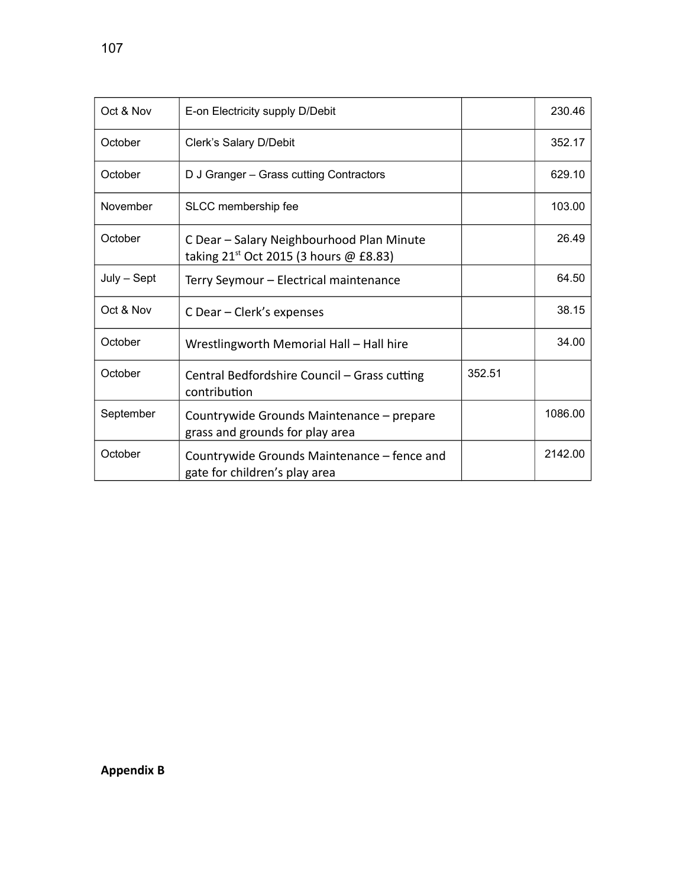| Oct & Nov   | E-on Electricity supply D/Debit                                                          |        | 230.46  |
|-------------|------------------------------------------------------------------------------------------|--------|---------|
| October     | Clerk's Salary D/Debit                                                                   |        | 352.17  |
| October     | D J Granger - Grass cutting Contractors                                                  |        | 629.10  |
| November    | SLCC membership fee                                                                      |        | 103.00  |
| October     | C Dear - Salary Neighbourhood Plan Minute<br>taking $21^{st}$ Oct 2015 (3 hours @ £8.83) |        | 26.49   |
| July - Sept | Terry Seymour - Electrical maintenance                                                   |        | 64.50   |
| Oct & Nov   | C Dear – Clerk's expenses                                                                |        | 38.15   |
| October     | Wrestlingworth Memorial Hall - Hall hire                                                 |        | 34.00   |
| October     | Central Bedfordshire Council - Grass cutting<br>contribution                             | 352.51 |         |
| September   | Countrywide Grounds Maintenance - prepare<br>grass and grounds for play area             |        | 1086.00 |
| October     | Countrywide Grounds Maintenance – fence and<br>gate for children's play area             |        | 2142.00 |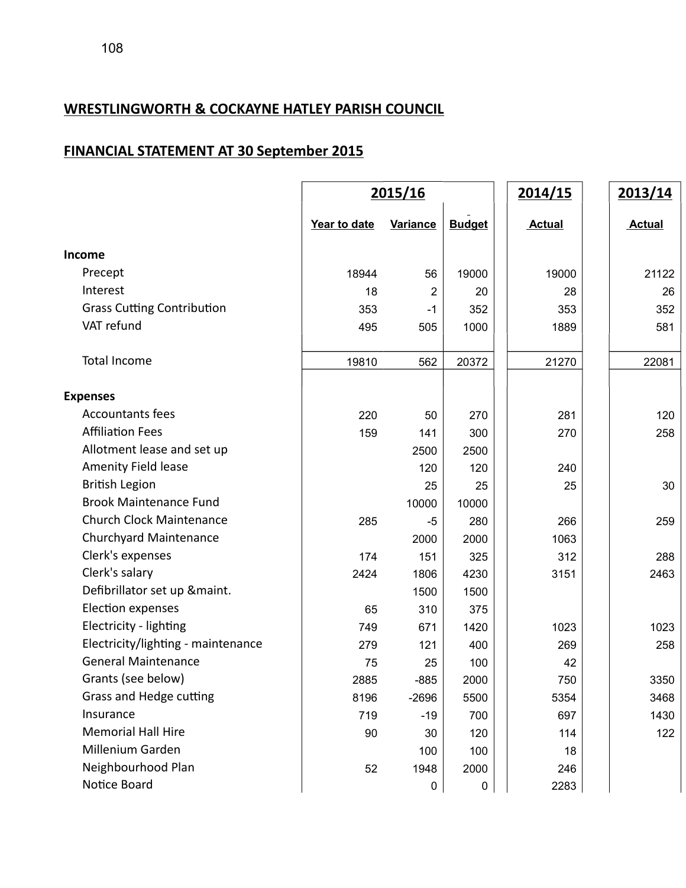## **WRESTLINGWORTH & COCKAYNE HATLEY PARISH COUNCIL**

# **FINANCIAL STATEMENT AT 30 September 2015**

|                                    |              | 2015/16         |               | 2014/15       | 2013/14       |
|------------------------------------|--------------|-----------------|---------------|---------------|---------------|
|                                    | Year to date | <b>Variance</b> | <b>Budget</b> | <b>Actual</b> | <b>Actual</b> |
| Income                             |              |                 |               |               |               |
| Precept                            | 18944        | 56              | 19000         | 19000         | 21122         |
| Interest                           | 18           | $\overline{2}$  | 20            | 28            | 26            |
| <b>Grass Cutting Contribution</b>  | 353          | $-1$            | 352           | 353           | 352           |
| VAT refund                         | 495          | 505             | 1000          | 1889          | 581           |
| Total Income                       | 19810        | 562             | 20372         | 21270         | 22081         |
| <b>Expenses</b>                    |              |                 |               |               |               |
| <b>Accountants fees</b>            | 220          | 50              | 270           | 281           | 120           |
| <b>Affiliation Fees</b>            | 159          | 141             | 300           | 270           | 258           |
| Allotment lease and set up         |              | 2500            | 2500          |               |               |
| Amenity Field lease                |              | 120             | 120           | 240           |               |
| <b>British Legion</b>              |              | 25              | 25            | 25            | 30            |
| <b>Brook Maintenance Fund</b>      |              | 10000           | 10000         |               |               |
| <b>Church Clock Maintenance</b>    | 285          | -5              | 280           | 266           | 259           |
| Churchyard Maintenance             |              | 2000            | 2000          | 1063          |               |
| Clerk's expenses                   | 174          | 151             | 325           | 312           | 288           |
| Clerk's salary                     | 2424         | 1806            | 4230          | 3151          | 2463          |
| Defibrillator set up &maint.       |              | 1500            | 1500          |               |               |
| Election expenses                  | 65           | 310             | 375           |               |               |
| Electricity - lighting             | 749          | 671             | 1420          | 1023          | 1023          |
| Electricity/lighting - maintenance | 279          | 121             | 400           | 269           | 258           |
| <b>General Maintenance</b>         | 75           | 25              | 100           | 42            |               |
| Grants (see below)                 | 2885         | $-885$          | 2000          | 750           | 3350          |
| Grass and Hedge cutting            | 8196         | $-2696$         | 5500          | 5354          | 3468          |
| Insurance                          | 719          | $-19$           | 700           | 697           | 1430          |
| <b>Memorial Hall Hire</b>          | 90           | 30              | 120           | 114           | 122           |
| Millenium Garden                   |              | 100             | 100           | 18            |               |
| Neighbourhood Plan                 | 52           | 1948            | 2000          | 246           |               |
| Notice Board                       |              | 0               | $\pmb{0}$     | 2283          |               |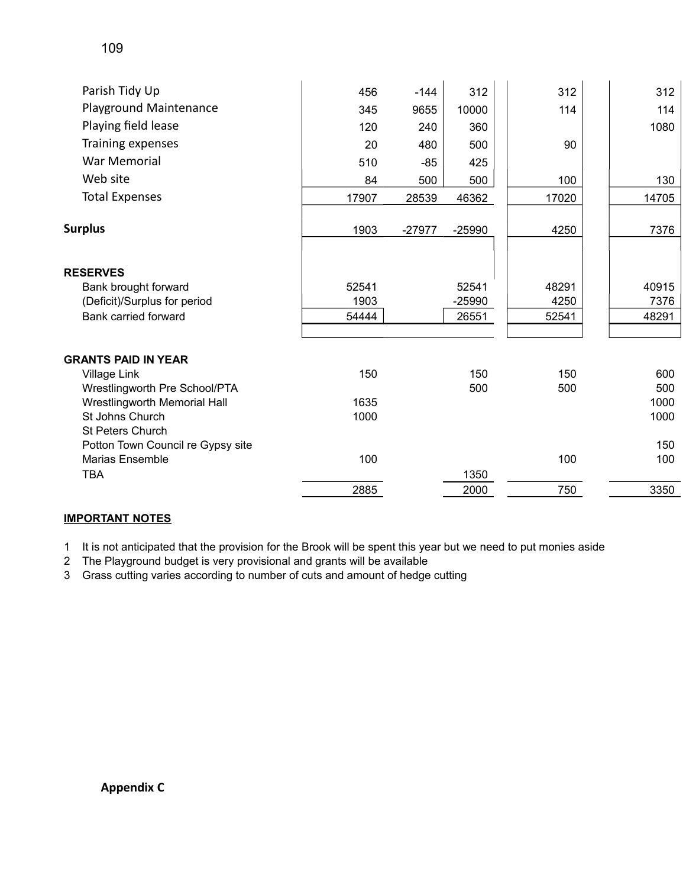| Parish Tidy Up                       | 456   | $-144$   | 312      | 312   | 312   |
|--------------------------------------|-------|----------|----------|-------|-------|
| Playground Maintenance               | 345   | 9655     | 10000    | 114   | 114   |
| Playing field lease                  | 120   | 240      | 360      |       | 1080  |
| Training expenses                    | 20    | 480      | 500      | 90    |       |
| <b>War Memorial</b>                  | 510   | $-85$    | 425      |       |       |
| Web site                             | 84    | 500      | 500      | 100   | 130   |
| <b>Total Expenses</b>                | 17907 | 28539    | 46362    | 17020 | 14705 |
| <b>Surplus</b>                       | 1903  | $-27977$ | $-25990$ | 4250  | 7376  |
| <b>RESERVES</b>                      |       |          |          |       |       |
| Bank brought forward                 | 52541 |          | 52541    | 48291 | 40915 |
| (Deficit)/Surplus for period         | 1903  |          | $-25990$ | 4250  | 7376  |
| Bank carried forward                 | 54444 |          | 26551    | 52541 | 48291 |
|                                      |       |          |          |       |       |
| <b>GRANTS PAID IN YEAR</b>           |       |          |          |       |       |
| Village Link                         | 150   |          | 150      | 150   | 600   |
| Wrestlingworth Pre School/PTA        |       |          | 500      | 500   | 500   |
| Wrestlingworth Memorial Hall         | 1635  |          |          |       | 1000  |
| St Johns Church                      | 1000  |          |          |       | 1000  |
| <b>St Peters Church</b>              |       |          |          |       |       |
| Potton Town Council re Gypsy site    |       |          |          |       | 150   |
| <b>Marias Ensemble</b><br><b>TBA</b> | 100   |          | 1350     | 100   | 100   |
|                                      | 2885  |          | 2000     | 750   | 3350  |
|                                      |       |          |          |       |       |

## **IMPORTANT NOTES**

1 It is not anticipated that the provision for the Brook will be spent this year but we need to put monies aside

2 The Playground budget is very provisional and grants will be available

3 Grass cutting varies according to number of cuts and amount of hedge cutting

**Appendix C**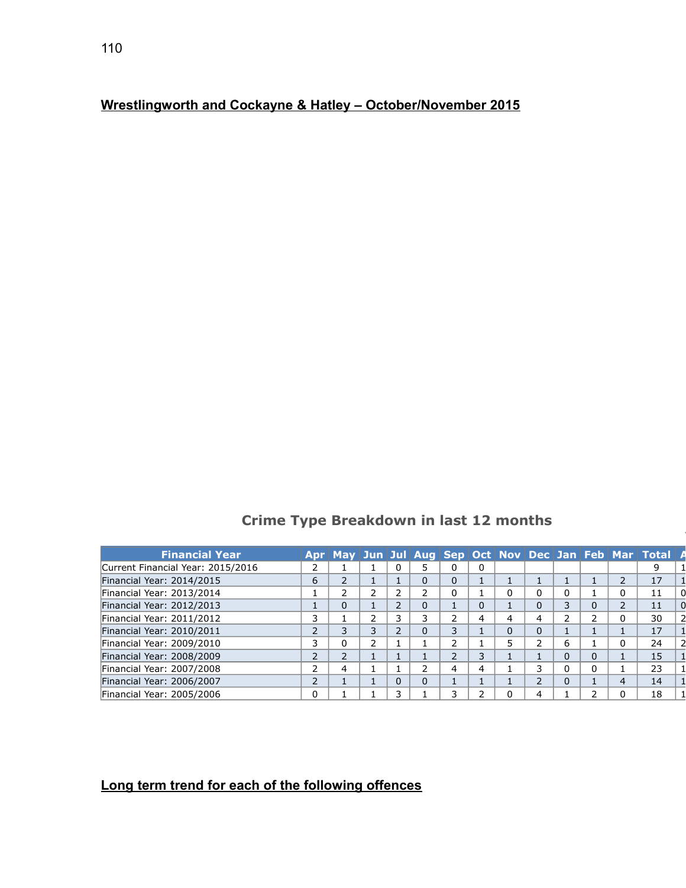## **Wrestlingworth and Cockayne & Hatley – October/November 2015**

## **Crime Type Breakdown in last 12 months**

| <b>Financial Year</b>             | Apr      |                |   |          |    |   |   |   |          | May   Jun   Jul   Aug   Sep   Oct   Nov   Dec   Jan   Feb   Mar   Total   A |  |
|-----------------------------------|----------|----------------|---|----------|----|---|---|---|----------|-----------------------------------------------------------------------------|--|
| Current Financial Year: 2015/2016 |          |                |   |          |    | 0 |   |   |          |                                                                             |  |
| Financial Year: 2014/2015         | 6        | 2              |   | 0        | 0  |   |   |   |          | 17                                                                          |  |
| Financial Year: 2013/2014         |          |                |   |          | 0  |   | 0 | 0 |          | 11                                                                          |  |
| Financial Year: 2012/2013         |          | 0              |   | 0        |    |   | 0 | 3 | 0        | 11                                                                          |  |
| Financial Year: 2011/2012         |          |                |   | 3        | ר  | 4 | 4 | ∍ |          | 30                                                                          |  |
| Financial Year: 2010/2011         |          | 3              | 3 | $\Omega$ | 3. |   | 0 |   |          | 17                                                                          |  |
| Financial Year: 2009/2010         |          | 0              | ר |          | ר  |   | ∍ | 6 |          | 24                                                                          |  |
| Financial Year: 2008/2009         |          | $\overline{2}$ |   |          | ר  | 3 |   | 0 | $\Omega$ | 15                                                                          |  |
| Financial Year: 2007/2008         |          | 4              |   |          | 4  | 4 | 3 | 0 | 0        | 23                                                                          |  |
| Financial Year: 2006/2007         |          |                |   | $\Omega$ |    |   | ∍ | 0 |          | 14                                                                          |  |
| Financial Year: 2005/2006         | $\Omega$ |                |   |          | ٦  |   |   |   |          | 18                                                                          |  |

## **Long term trend for each of the following offences**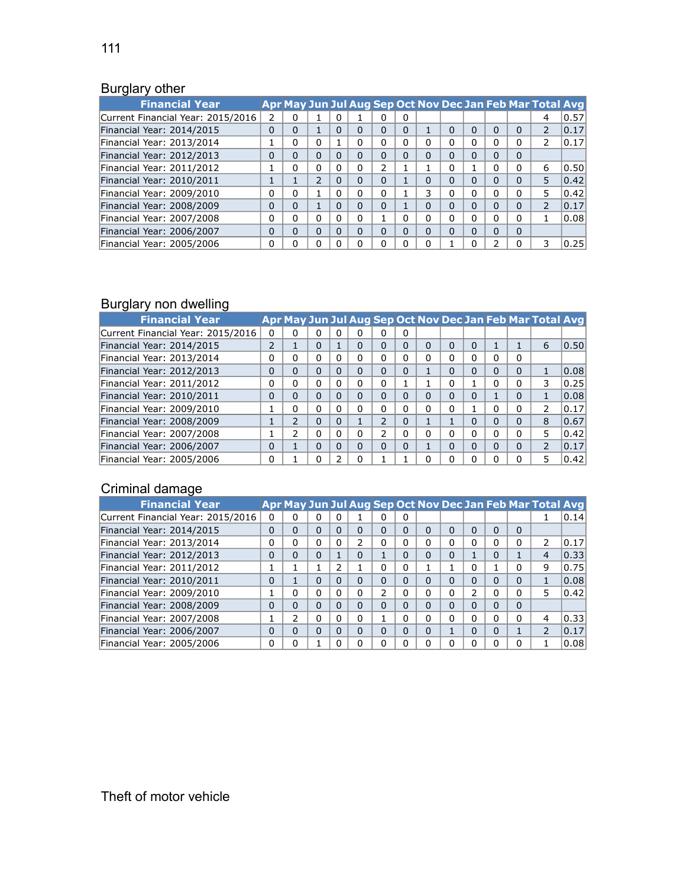## **Burglary other**

| <b>Financial Year</b>             |          |          |          |              |          |          |          |          |          |   |          | Apr May Jun Jul Aug Sep Oct Nov Dec Jan Feb Mar Total Avg |      |
|-----------------------------------|----------|----------|----------|--------------|----------|----------|----------|----------|----------|---|----------|-----------------------------------------------------------|------|
| Current Financial Year: 2015/2016 | 2        |          |          |              |          | 0        | 0        |          |          |   |          | 4                                                         | 0.57 |
| Financial Year: 2014/2015         | 0        | 0        |          | 0            | 0        | 0        | 0        |          | 0        | 0 | $\Omega$ | 2                                                         | 0.17 |
| Financial Year: 2013/2014         | 1        | 0        | 0        |              | 0        | 0        |          | 0        | 0        | 0 | $\Omega$ | 2                                                         | 0.17 |
| Financial Year: 2012/2013         | $\Omega$ | $\Omega$ | $\Omega$ | $\Omega$     | 0        | $\Omega$ | 0        | $\Omega$ | $\Omega$ | 0 | $\Omega$ |                                                           |      |
| Financial Year: 2011/2012         | 1        | 0        | 0        | 0            | 0        | 2        |          |          | 0        |   | $\Omega$ | 6                                                         | 0.50 |
| Financial Year: 2010/2011         |          |          | 2        | 0            | $\Omega$ | $\Omega$ |          | 0        | $\Omega$ | 0 | $\Omega$ | 5                                                         | 0.42 |
| Financial Year: 2009/2010         | 0        | 0        |          | 0            | 0        | 0        |          | 3        | 0        | 0 | $\Omega$ | 5                                                         | 0.42 |
| Financial Year: 2008/2009         | $\Omega$ | $\Omega$ |          | $\Omega$     | $\Omega$ | $\Omega$ |          | $\Omega$ | $\Omega$ | 0 | $\Omega$ | $\overline{\phantom{a}}$                                  | 0.17 |
| Financial Year: 2007/2008         | 0        | 0        | $\Omega$ | 0            | 0        |          | 0        | $\Omega$ | 0        | 0 | $\Omega$ |                                                           | 0.08 |
| Financial Year: 2006/2007         | $\Omega$ | $\Omega$ | $\Omega$ | <sup>0</sup> | $\Omega$ | $\Omega$ | $\Omega$ | $\Omega$ | $\Omega$ | U | $\Omega$ |                                                           |      |
| Financial Year: 2005/2006         | 0        | o        | 0        |              | 0        | 0        |          | 0        |          | ი | $\Omega$ | 3                                                         | 0.25 |

# Burglary non dwelling

| <b>Financial Year</b>             |          |               |          |              |          |               |   |          |          |          |          | Apr May Jun Jul Aug Sep Oct Nov Dec Jan Feb Mar Total Avg |      |
|-----------------------------------|----------|---------------|----------|--------------|----------|---------------|---|----------|----------|----------|----------|-----------------------------------------------------------|------|
| Current Financial Year: 2015/2016 | 0        | 0             | 0        | $\mathbf{0}$ | n        | ი             | 0 |          |          |          |          |                                                           |      |
| Financial Year: 2014/2015         | 2        |               | 0        |              | 0        | 0             | n | $\Omega$ | 0        | $\Omega$ |          | 6                                                         | 0.50 |
| Financial Year: 2013/2014         | 0        | o             | 0        | 0            | 0        | 0             |   | 0        | 0        | o        | 0        |                                                           |      |
| Financial Year: 2012/2013         | 0        | 0             | 0        | $\Omega$     | $\Omega$ | 0             | 0 |          | $\Omega$ | 0        | 0        |                                                           | 0.08 |
| Financial Year: 2011/2012         | 0        | 0             | 0        | 0            | 0        | 0             |   |          | 0        |          | 0        | 3                                                         | 0.25 |
| Financial Year: 2010/2011         | 0        | 0             | 0        | $\Omega$     | $\Omega$ | 0             | 0 | $\Omega$ | 0        | 0        | 0        |                                                           | 0.08 |
| Financial Year: 2009/2010         | Ŧ.       | 0             | 0        | O            | $\Omega$ | 0             |   | $\Omega$ | 0        |          | $\Omega$ | 2                                                         | 0.17 |
| Financial Year: 2008/2009         | Ŧ.       | $\mathcal{P}$ | $\Omega$ | $\Omega$     |          | 2             | 0 | Ŧ.       |          | 0        | $\Omega$ | 8                                                         | 0.67 |
| Financial Year: 2007/2008         | Ŧ.       | $\mathcal{P}$ | 0        | O            | 0        | $\mathcal{P}$ |   | $\Omega$ | 0        | 0        | 0        | 5                                                         | 0.42 |
| Financial Year: 2006/2007         | $\Omega$ |               | 0        | 0            | $\Omega$ | 0             | 0 |          | 0        | 0        | 0        | 2                                                         | 0.17 |
| Financial Year: 2005/2006         | $\Omega$ |               | ი        |              | O        |               |   | 0        | o        | ი        | $\Omega$ | 5                                                         | 0.42 |

## Criminal damage

| <b>Financial Year</b>             |          |          |          |          |          |   |          |          |              |          |          |          | Apr May Jun Jul Aug Sep Oct Nov Dec Jan Feb Mar Total Avg |      |
|-----------------------------------|----------|----------|----------|----------|----------|---|----------|----------|--------------|----------|----------|----------|-----------------------------------------------------------|------|
| Current Financial Year: 2015/2016 | 0        | U        | 0        | 0        |          | Ω | 0        |          |              |          |          |          |                                                           | 0.14 |
| Financial Year: 2014/2015         | $\Omega$ | 0        | $\Omega$ | $\Omega$ | $\Omega$ | 0 |          | $\Omega$ | $\Omega$     | $\Omega$ | $\Omega$ | $\Omega$ |                                                           |      |
| Financial Year: 2013/2014         | 0        | 0        | $\Omega$ | 0        | 2        | U |          | 0        | 0            | O        | 0        | 0        | 2                                                         | 0.17 |
| Financial Year: 2012/2013         | $\Omega$ | 0        | $\Omega$ |          | $\Omega$ |   | 0        | $\Omega$ | $\Omega$     |          | O        |          | 4                                                         | 0.33 |
| Financial Year: 2011/2012         |          |          |          | っ        |          | 0 | $\Omega$ |          |              | 0        |          | 0        | 9                                                         | 0.75 |
| Financial Year: 2010/2011         | $\Omega$ |          | $\Omega$ | $\Omega$ | $\Omega$ | 0 | $\Omega$ | $\Omega$ | $\Omega$     | $\Omega$ | $\Omega$ | $\Omega$ |                                                           | 0.08 |
| Financial Year: 2009/2010         |          | $\Omega$ | 0        | 0        | $\Omega$ | 2 |          | 0        | 0            | ว        | 0        | 0        | 5                                                         | 0.42 |
| Financial Year: 2008/2009         | $\Omega$ | $\Omega$ | $\Omega$ | 0        | $\Omega$ | 0 | $\Omega$ | 0        | $\Omega$     | $\Omega$ | $\Omega$ | 0        |                                                           |      |
| Financial Year: 2007/2008         |          |          | 0        | 0        | $\Omega$ |   |          | 0        | $\mathbf{0}$ | 0        | 0        | 0        | 4                                                         | 0.33 |
| Financial Year: 2006/2007         | $\Omega$ | $\Omega$ | $\Omega$ | 0        | $\Omega$ | 0 | $\Omega$ | 0        |              | $\Omega$ | 0        |          | $\overline{2}$                                            | 0.17 |
| Financial Year: 2005/2006         | 0        |          |          |          |          | ი |          | 0        |              |          | 0        | 0        |                                                           | 0.08 |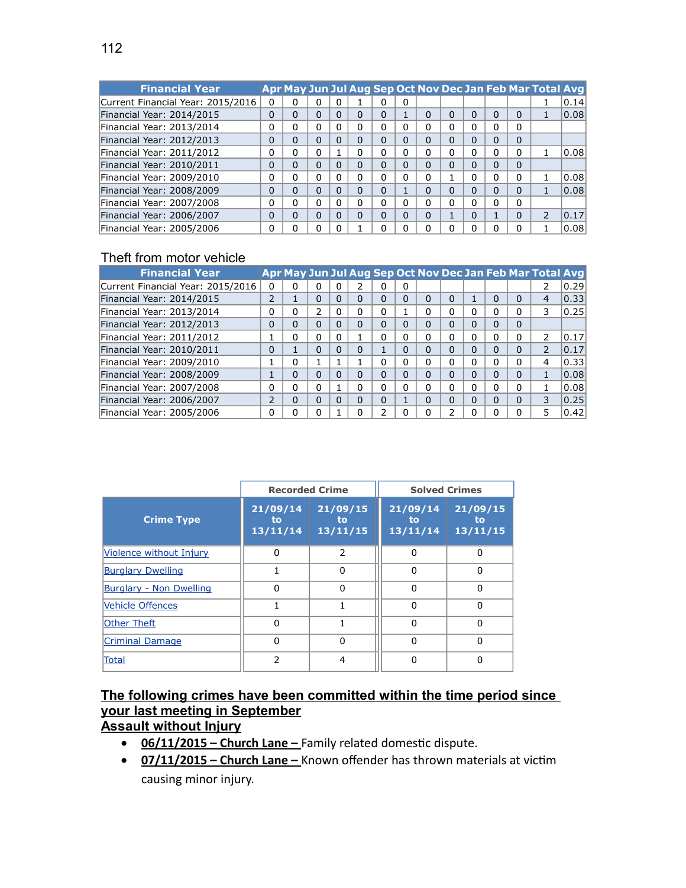| <b>Financial Year</b>             |          |   |          |              |          |          |   |          |          |   |          | Apr May Jun Jul Aug Sep Oct Nov Dec Jan Feb Mar Total Avg |      |
|-----------------------------------|----------|---|----------|--------------|----------|----------|---|----------|----------|---|----------|-----------------------------------------------------------|------|
| Current Financial Year: 2015/2016 | 0        | ი | 0        |              |          | 0        | 0 |          |          |   |          |                                                           | 0.14 |
| Financial Year: 2014/2015         | $\Omega$ | 0 | 0        | 0            | $\Omega$ | $\Omega$ |   | $\Omega$ | $\Omega$ | 0 | $\Omega$ |                                                           | 0.08 |
| Financial Year: 2013/2014         | 0        | 0 | $\Omega$ |              | 0        | 0        |   | 0        | 0        | o | 0        |                                                           |      |
| Financial Year: 2012/2013         | $\Omega$ | 0 | 0        | 0            | $\Omega$ | $\Omega$ | ი | $\Omega$ | $\Omega$ | 0 | $\Omega$ |                                                           |      |
| Financial Year: 2011/2012         | 0        | 0 | 0        |              | 0        | 0        |   | $\Omega$ | 0        | ი | 0        |                                                           | 0.08 |
| Financial Year: 2010/2011         | $\Omega$ | 0 | 0        | 0            | $\Omega$ | $\Omega$ | ი | $\Omega$ | $\Omega$ | 0 | 0        |                                                           |      |
| Financial Year: 2009/2010         | $\Omega$ | 0 | $\Omega$ | 0            | 0        | 0        | n | 0        |          | ი | 0        |                                                           | 0.08 |
| Financial Year: 2008/2009         | $\Omega$ | 0 | $\Omega$ | 0            | $\Omega$ | $\Omega$ |   | $\Omega$ | $\Omega$ | 0 | $\Omega$ |                                                           | 0.08 |
| Financial Year: 2007/2008         | $\Omega$ | 0 | $\Omega$ | 0            | 0        | 0        | n | $\Omega$ | 0        | 0 | $\Omega$ |                                                           |      |
| Financial Year: 2006/2007         | $\Omega$ | 0 | $\Omega$ | <sup>0</sup> | $\Omega$ | $\Omega$ | 0 | $\Omega$ |          | 0 | $\Omega$ | $\overline{\phantom{a}}$                                  | 0.17 |
| Financial Year: 2005/2006         | $\Omega$ | 0 | 0        |              |          |          |   | $\Omega$ | U        | U | $\Omega$ |                                                           | 0.08 |

## Theft from motor vehicle

| <b>Financial Year</b>             |                |          |          |          |          |   |   |                |               |          |          |          | Apr May Jun Jul Aug Sep Oct Nov Dec Jan Feb Mar Total Avg |      |
|-----------------------------------|----------------|----------|----------|----------|----------|---|---|----------------|---------------|----------|----------|----------|-----------------------------------------------------------|------|
| Current Financial Year: 2015/2016 | 0              | 0        | 0        | 0        |          | 0 | 0 |                |               |          |          |          |                                                           | 0.29 |
| Financial Year: 2014/2015         | 2              |          | $\Omega$ | 0        | $\Omega$ | ŋ | 0 | $\Omega$       | $\Omega$      |          | $\Omega$ | $\Omega$ | 4                                                         | 0.33 |
| Financial Year: 2013/2014         | 0              | 0        | 2        | $\Omega$ | 0        | 0 |   | 0              | 0             | 0        | 0        | 0        | 3                                                         | 0.25 |
| Financial Year: 2012/2013         | $\Omega$       | 0        | 0        | 0        | $\Omega$ | ŋ | 0 | $\overline{0}$ | $\Omega$      | $\Omega$ | 0        | $\Omega$ |                                                           |      |
| Financial Year: 2011/2012         |                | 0        | 0        | 0        |          | 0 | U | $\Omega$       | 0             | 0        | 0        | 0        | $\overline{2}$                                            | 0.17 |
| Financial Year: 2010/2011         | 0              |          | $\Omega$ | $\Omega$ | $\Omega$ |   | 0 | $\overline{0}$ | $\Omega$      | $\Omega$ | 0        | 0        | 2                                                         | 0.17 |
| Financial Year: 2009/2010         |                | 0        |          |          |          | 0 | n | $\Omega$       | 0             | 0        | 0        | 0        | 4                                                         | 0.33 |
| Financial Year: 2008/2009         | Ŧ              | $\Omega$ | $\Omega$ | 0        | $\Omega$ | ŋ | 0 | $\overline{0}$ | $\Omega$      | $\Omega$ | 0        | 0        |                                                           | 0.08 |
| Financial Year: 2007/2008         | 0              | 0        | $\Omega$ |          | 0        | 0 | U | $\Omega$       | 0             | 0        | 0        | 0        |                                                           | 0.08 |
| Financial Year: 2006/2007         | $\overline{2}$ | $\Omega$ | $\Omega$ | $\Omega$ | 0        | 0 |   | $\overline{0}$ | 0             | $\Omega$ | 0        | 0        | 3                                                         | 0.25 |
| Financial Year: 2005/2006         | 0              | 0        | $\Omega$ |          | 0        |   |   | $\Omega$       | $\mathcal{P}$ |          |          | 0        | 5                                                         | 0.42 |

|                                | <b>Recorded Crime</b>      |                            |                            | <b>Solved Crimes</b>       |
|--------------------------------|----------------------------|----------------------------|----------------------------|----------------------------|
| <b>Crime Type</b>              | 21/09/14<br>to<br>13/11/14 | 21/09/15<br>to<br>13/11/15 | 21/09/14<br>to<br>13/11/14 | 21/09/15<br>to<br>13/11/15 |
| Violence without Injury        | $\Omega$                   | $\mathcal{P}$              | 0                          | 0                          |
| <b>Burglary Dwelling</b>       |                            | $\Omega$                   | O                          | O                          |
| <b>Burglary - Non Dwelling</b> | $\Omega$                   | $\Omega$                   | ŋ                          | n                          |
| Vehicle Offences               |                            |                            | O                          | ŋ                          |
| <b>Other Theft</b>             | $\Omega$                   |                            | ŋ                          | ŋ                          |
| <b>Criminal Damage</b>         | 0                          | 0                          | $\Omega$                   | 0                          |
| Total                          | 2                          | 4                          |                            |                            |

## **The following crimes have been committed within the time period since your last meeting in September**

**Assault without Injury**

- **06/11/2015 Church Lane** Family related domestic dispute.
- **07/11/2015 Church Lane** Known offender has thrown materials at victim causing minor injury.